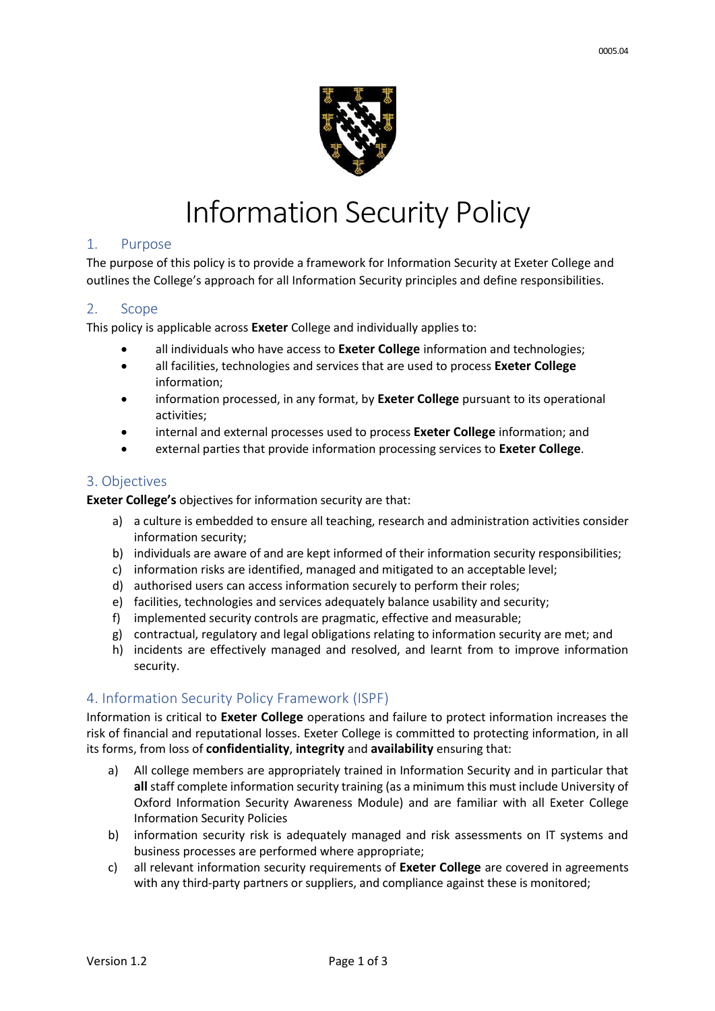

#### 1. Purpose

The purpose of this policy is to provide a framework for Information Security at Exeter College and outlines the College's approach for all Information Security principles and define responsibilities.

### 2. Scope

This policy is applicable across **Exeter** College and individually applies to:

- all individuals who have access to **Exeter College** information and technologies;
- all facilities, technologies and services that are used to process **Exeter College**  information;
- information processed, in any format, by **Exeter College** pursuant to its operational activities;
- internal and external processes used to process **Exeter College** information; and
- external parties that provide information processing services to **Exeter College**.

### 3. Objectives

**Exeter College's** objectives for information security are that:

- a) a culture is embedded to ensure all teaching, research and administration activities consider information security;
- b) individuals are aware of and are kept informed of their information security responsibilities;
- c) information risks are identified, managed and mitigated to an acceptable level;
- d) authorised users can access information securely to perform their roles;
- e) facilities, technologies and services adequately balance usability and security;
- f) implemented security controls are pragmatic, effective and measurable;
- g) contractual, regulatory and legal obligations relating to information security are met; and
- h) incidents are effectively managed and resolved, and learnt from to improve information security.

# 4. Information Security Policy Framework (ISPF)

Information is critical to **Exeter College** operations and failure to protect information increases the risk of financial and reputational losses. Exeter College is committed to protecting information, in all its forms, from loss of **confidentiality**, **integrity** and **availability** ensuring that:

- a) All college members are appropriately trained in Information Security and in particular that **all** staff complete information security training (as a minimum this must include University of Oxford Information Security Awareness Module) and are familiar with all Exeter College Information Security Policies
- b) information security risk is adequately managed and risk assessments on IT systems and business processes are performed where appropriate;
- c) all relevant information security requirements of **Exeter College** are covered in agreements with any third-party partners or suppliers, and compliance against these is monitored;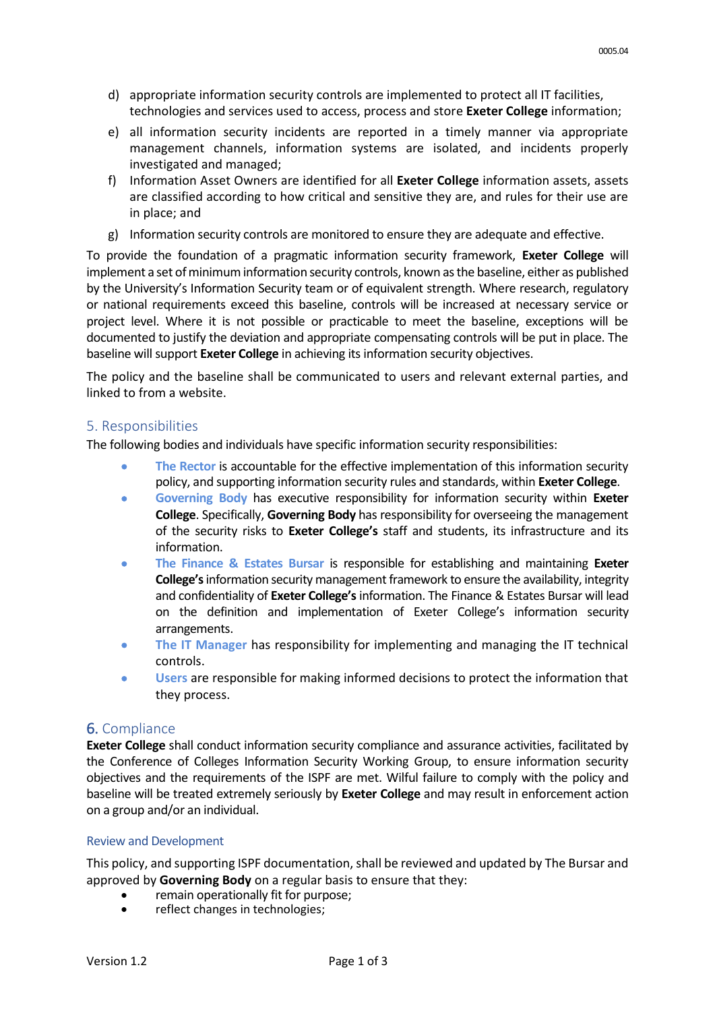- d) appropriate information security controls are implemented to protect all IT facilities, technologies and services used to access, process and store **Exeter College** information;
- e) all information security incidents are reported in a timely manner via appropriate management channels, information systems are isolated, and incidents properly investigated and managed;
- f) Information Asset Owners are identified for all **Exeter College** information assets, assets are classified according to how critical and sensitive they are, and rules for their use are in place; and
- g) Information security controls are monitored to ensure they are adequate and effective.

To provide the foundation of a pragmatic information security framework, **Exeter College** will implement a set of minimum information security controls, known as the baseline, either as published by the University's Information Security team or of equivalent strength. Where research, regulatory or national requirements exceed this baseline, controls will be increased at necessary service or project level. Where it is not possible or practicable to meet the baseline, exceptions will be documented to justify the deviation and appropriate compensating controls will be put in place. The baseline will support **Exeter College** in achieving its information security objectives.

The policy and the baseline shall be communicated to users and relevant external parties, and linked to from a website.

# 5. Responsibilities

The following bodies and individuals have specific information security responsibilities:

- **The Rector** is accountable for the effective implementation of this information security policy, and supporting information security rules and standards, within **Exeter College**.
- **Governing Body** has executive responsibility for information security within **Exeter College**. Specifically, **Governing Body** has responsibility for overseeing the management of the security risks to **Exeter College's** staff and students, its infrastructure and its information.
- **The Finance & Estates Bursar** is responsible for establishing and maintaining **Exeter College's** information security management framework to ensure the availability, integrity and confidentiality of **Exeter College's** information. The Finance & Estates Bursar will lead on the definition and implementation of Exeter College's information security arrangements.
- **The IT Manager** has responsibility for implementing and managing the IT technical controls.
- **Users** are responsible for making informed decisions to protect the information that they process.

# 6. Compliance

**Exeter College** shall conduct information security compliance and assurance activities, facilitated by the Conference of Colleges Information Security Working Group, to ensure information security objectives and the requirements of the ISPF are met. Wilful failure to comply with the policy and baseline will be treated extremely seriously by **Exeter College** and may result in enforcement action on a group and/or an individual.

#### Review and Development

This policy, and supporting ISPF documentation, shall be reviewed and updated by The Bursar and approved by **Governing Body** on a regular basis to ensure that they:

- remain operationally fit for purpose;
- reflect changes in technologies;